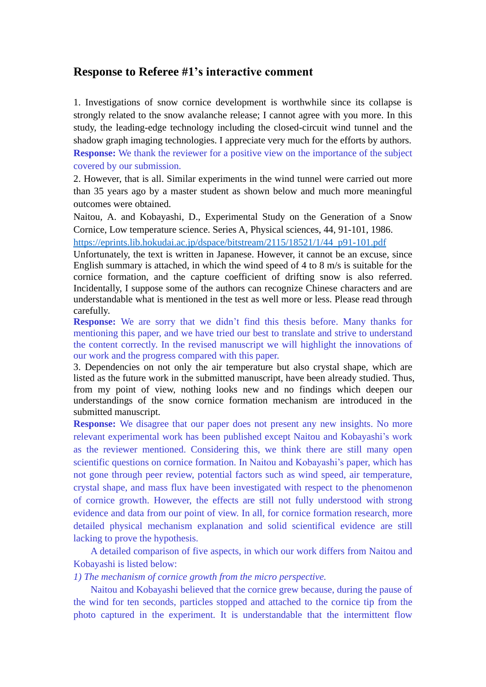## **Response to Referee #1's interactive comment**

1. Investigations of snow cornice development is worthwhile since its collapse is strongly related to the snow avalanche release; I cannot agree with you more. In this study, the leading-edge technology including the closed-circuit wind tunnel and the shadow graph imaging technologies. I appreciate very much for the efforts by authors. **Response:** We thank the reviewer for a positive view on the importance of the subject covered by our submission.

2. However, that is all. Similar experiments in the wind tunnel were carried out more than 35 years ago by a master student as shown below and much more meaningful outcomes were obtained.

Naitou, A. and Kobayashi, D., Experimental Study on the Generation of a Snow Cornice, Low temperature science. Series A, Physical sciences, 44, 91-101, 1986. [https://eprints.lib.hokudai.ac.jp/dspace/bitstream/2115/18521/1/44\\_p91-101.pdf](https://eprints.lib.hokudai.ac.jp/dspace/bitstream/2115/18521/1/44_p91-101.pdf)

Unfortunately, the text is written in Japanese. However, it cannot be an excuse, since English summary is attached, in which the wind speed of 4 to 8 m/s is suitable for the cornice formation, and the capture coefficient of drifting snow is also referred. Incidentally, I suppose some of the authors can recognize Chinese characters and are understandable what is mentioned in the test as well more or less. Please read through carefully.

**Response:** We are sorry that we didn't find this thesis before. Many thanks for mentioning this paper, and we have tried our best to translate and strive to understand the content correctly. In the revised manuscript we will highlight the innovations of our work and the progress compared with this paper.

3. Dependencies on not only the air temperature but also crystal shape, which are listed as the future work in the submitted manuscript, have been already studied. Thus, from my point of view, nothing looks new and no findings which deepen our understandings of the snow cornice formation mechanism are introduced in the submitted manuscript.

**Response:** We disagree that our paper does not present any new insights. No more relevant experimental work has been published except Naitou and Kobayashi's work as the reviewer mentioned. Considering this, we think there are still many open scientific questions on cornice formation. In Naitou and Kobayashi's paper, which has not gone through peer review, potential factors such as wind speed, air temperature, crystal shape, and mass flux have been investigated with respect to the phenomenon of cornice growth. However, the effects are still not fully understood with strong evidence and data from our point of view. In all, for cornice formation research, more detailed physical mechanism explanation and solid scientifical evidence are still lacking to prove the hypothesis.

A detailed comparison of five aspects, in which our work differs from Naitou and Kobayashi is listed below:

*1) The mechanism of cornice growth from the micro perspective.*

Naitou and Kobayashi believed that the cornice grew because, during the pause of the wind for ten seconds, particles stopped and attached to the cornice tip from the photo captured in the experiment. It is understandable that the intermittent flow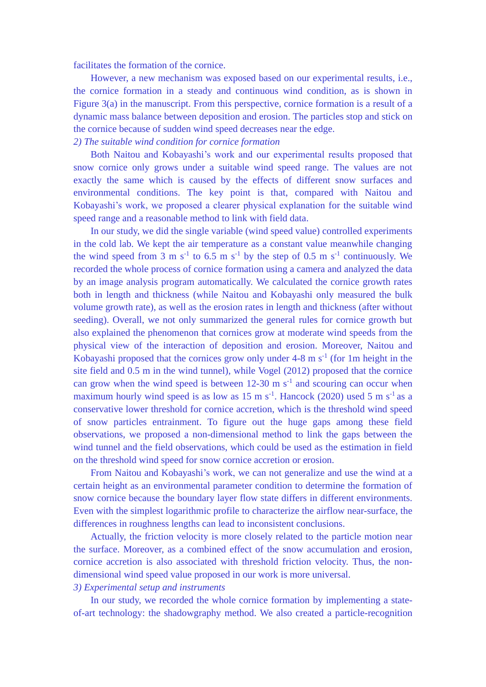facilitates the formation of the cornice.

However, a new mechanism was exposed based on our experimental results, i.e., the cornice formation in a steady and continuous wind condition, as is shown in Figure 3(a) in the manuscript. From this perspective, cornice formation is a result of a dynamic mass balance between deposition and erosion. The particles stop and stick on the cornice because of sudden wind speed decreases near the edge. *2) The suitable wind condition for cornice formation*

Both Naitou and Kobayashi's work and our experimental results proposed that snow cornice only grows under a suitable wind speed range. The values are not exactly the same which is caused by the effects of different snow surfaces and environmental conditions. The key point is that, compared with Naitou and Kobayashi's work, we proposed a clearer physical explanation for the suitable wind speed range and a reasonable method to link with field data.

In our study, we did the single variable (wind speed value) controlled experiments in the cold lab. We kept the air temperature as a constant value meanwhile changing the wind speed from 3 m  $s^{-1}$  to 6.5 m  $s^{-1}$  by the step of 0.5 m  $s^{-1}$  continuously. We recorded the whole process of cornice formation using a camera and analyzed the data by an image analysis program automatically. We calculated the cornice growth rates both in length and thickness (while Naitou and Kobayashi only measured the bulk volume growth rate), as well as the erosion rates in length and thickness (after without seeding). Overall, we not only summarized the general rules for cornice growth but also explained the phenomenon that cornices grow at moderate wind speeds from the physical view of the interaction of deposition and erosion. Moreover, Naitou and Kobayashi proposed that the cornices grow only under  $4-8 \text{ m s}^{-1}$  (for 1m height in the site field and 0.5 m in the wind tunnel), while Vogel (2012) proposed that the cornice can grow when the wind speed is between  $12-30$  m s<sup>-1</sup> and scouring can occur when maximum hourly wind speed is as low as  $15 \text{ m s}^{-1}$ . Hancock (2020) used  $5 \text{ m s}^{-1}$  as a conservative lower threshold for cornice accretion, which is the threshold wind speed of snow particles entrainment. To figure out the huge gaps among these field observations, we proposed a non-dimensional method to link the gaps between the wind tunnel and the field observations, which could be used as the estimation in field on the threshold wind speed for snow cornice accretion or erosion.

From Naitou and Kobayashi's work, we can not generalize and use the wind at a certain height as an environmental parameter condition to determine the formation of snow cornice because the boundary layer flow state differs in different environments. Even with the simplest logarithmic profile to characterize the airflow near-surface, the differences in roughness lengths can lead to inconsistent conclusions.

Actually, the friction velocity is more closely related to the particle motion near the surface. Moreover, as a combined effect of the snow accumulation and erosion, cornice accretion is also associated with threshold friction velocity. Thus, the nondimensional wind speed value proposed in our work is more universal.

## *3) Experimental setup and instruments*

In our study, we recorded the whole cornice formation by implementing a stateof-art technology: the shadowgraphy method. We also created a particle-recognition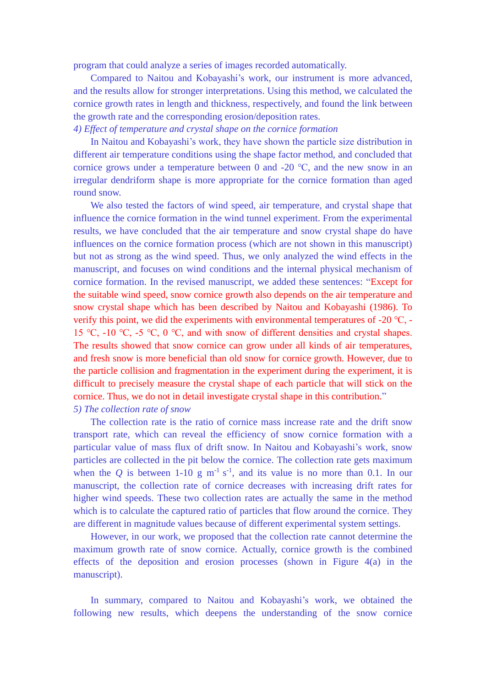program that could analyze a series of images recorded automatically.

Compared to Naitou and Kobayashi's work, our instrument is more advanced, and the results allow for stronger interpretations. Using this method, we calculated the cornice growth rates in length and thickness, respectively, and found the link between the growth rate and the corresponding erosion/deposition rates.

*4) Effect of temperature and crystal shape on the cornice formation*

In Naitou and Kobayashi's work, they have shown the particle size distribution in different air temperature conditions using the shape factor method, and concluded that cornice grows under a temperature between 0 and -20  $\degree$ C, and the new snow in an irregular dendriform shape is more appropriate for the cornice formation than aged round snow.

We also tested the factors of wind speed, air temperature, and crystal shape that influence the cornice formation in the wind tunnel experiment. From the experimental results, we have concluded that the air temperature and snow crystal shape do have influences on the cornice formation process (which are not shown in this manuscript) but not as strong as the wind speed. Thus, we only analyzed the wind effects in the manuscript, and focuses on wind conditions and the internal physical mechanism of cornice formation. In the revised manuscript, we added these sentences: "Except for the suitable wind speed, snow cornice growth also depends on the air temperature and snow crystal shape which has been described by Naitou and Kobayashi (1986). To verify this point, we did the experiments with environmental temperatures of -20 ℃, - 15 ℃, -10 ℃, -5 ℃, 0 ℃, and with snow of different densities and crystal shapes. The results showed that snow cornice can grow under all kinds of air temperatures, and fresh snow is more beneficial than old snow for cornice growth. However, due to the particle collision and fragmentation in the experiment during the experiment, it is difficult to precisely measure the crystal shape of each particle that will stick on the cornice. Thus, we do not in detail investigate crystal shape in this contribution." *5) The collection rate of snow*

The collection rate is the ratio of cornice mass increase rate and the drift snow transport rate, which can reveal the efficiency of snow cornice formation with a particular value of mass flux of drift snow. In Naitou and Kobayashi's work, snow particles are collected in the pit below the cornice. The collection rate gets maximum when the Q is between 1-10 g  $m^{-1} s^{-1}$ , and its value is no more than 0.1. In our manuscript, the collection rate of cornice decreases with increasing drift rates for higher wind speeds. These two collection rates are actually the same in the method which is to calculate the captured ratio of particles that flow around the cornice. They are different in magnitude values because of different experimental system settings.

However, in our work, we proposed that the collection rate cannot determine the maximum growth rate of snow cornice. Actually, cornice growth is the combined effects of the deposition and erosion processes (shown in Figure 4(a) in the manuscript).

In summary, compared to Naitou and Kobayashi's work, we obtained the following new results, which deepens the understanding of the snow cornice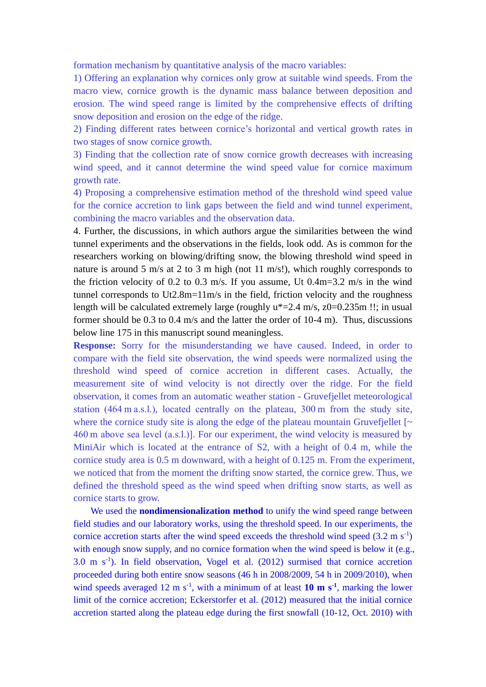formation mechanism by quantitative analysis of the macro variables:

1) Offering an explanation why cornices only grow at suitable wind speeds. From the macro view, cornice growth is the dynamic mass balance between deposition and erosion. The wind speed range is limited by the comprehensive effects of drifting snow deposition and erosion on the edge of the ridge.

2) Finding different rates between cornice's horizontal and vertical growth rates in two stages of snow cornice growth.

3) Finding that the collection rate of snow cornice growth decreases with increasing wind speed, and it cannot determine the wind speed value for cornice maximum growth rate.

4) Proposing a comprehensive estimation method of the threshold wind speed value for the cornice accretion to link gaps between the field and wind tunnel experiment, combining the macro variables and the observation data.

4. Further, the discussions, in which authors argue the similarities between the wind tunnel experiments and the observations in the fields, look odd. As is common for the researchers working on blowing/drifting snow, the blowing threshold wind speed in nature is around 5 m/s at 2 to 3 m high (not 11 m/s!), which roughly corresponds to the friction velocity of 0.2 to 0.3 m/s. If you assume, Ut 0.4m=3.2 m/s in the wind tunnel corresponds to Ut2.8m=11m/s in the field, friction velocity and the roughness length will be calculated extremely large (roughly u\*=2.4 m/s, z0=0.235m !!; in usual former should be 0.3 to 0.4 m/s and the latter the order of 10-4 m). Thus, discussions below line 175 in this manuscript sound meaningless.

**Response:** Sorry for the misunderstanding we have caused. Indeed, in order to compare with the field site observation, the wind speeds were normalized using the threshold wind speed of cornice accretion in different cases. Actually, the measurement site of wind velocity is not directly over the ridge. For the field observation, it comes from an automatic weather station - Gruvefjellet meteorological station (464 m a.s.l.), located centrally on the plateau, 300 m from the study site, where the cornice study site is along the edge of the plateau mountain Gruvefjellet  $\sim$ 460 m above sea level (a.s.l.)]. For our experiment, the wind velocity is measured by MiniAir which is located at the entrance of S2, with a height of 0.4 m, while the cornice study area is 0.5 m downward, with a height of 0.125 m. From the experiment, we noticed that from the moment the drifting snow started, the cornice grew. Thus, we defined the threshold speed as the wind speed when drifting snow starts, as well as cornice starts to grow.

We used the **nondimensionalization method** to unify the wind speed range between field studies and our laboratory works, using the threshold speed. In our experiments, the cornice accretion starts after the wind speed exceeds the threshold wind speed  $(3.2 \text{ m s}^{-1})$ with enough snow supply, and no cornice formation when the wind speed is below it (e.g.,  $3.0 \text{ m s}^{-1}$ ). In field observation, Vogel et al. (2012) surmised that cornice accretion proceeded during both entire snow seasons (46 h in 2008/2009, 54 h in 2009/2010), when wind speeds averaged 12 m  $s^{-1}$ , with a minimum of at least 10 m  $s^{-1}$ , marking the lower limit of the cornice accretion; Eckerstorfer et al. (2012) measured that the initial cornice accretion started along the plateau edge during the first snowfall (10-12, Oct. 2010) with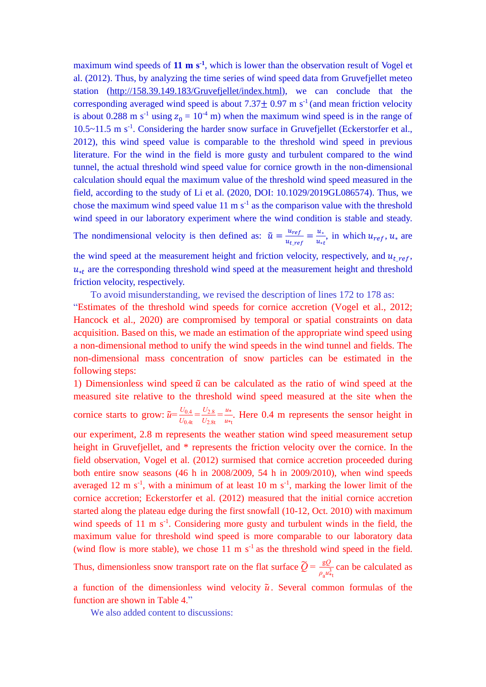maximum wind speeds of  $11 \text{ m s}^1$ , which is lower than the observation result of Vogel et al. (2012). Thus, by analyzing the time series of wind speed data from Gruvefjellet meteo station [\(http://158.39.149.183/Gruvefjellet/index.html\)](http://158.39.149.183/Gruvefjellet/index.html), we can conclude that the corresponding averaged wind speed is about  $7.37 \pm 0.97$  m s<sup>-1</sup> (and mean friction velocity is about 0.288 m s<sup>-1</sup> using  $z_0 = 10^{-4}$  m) when the maximum wind speed is in the range of 10.5~11.5 m s<sup>-1</sup>. Considering the harder snow surface in Gruvefjellet (Eckerstorfer et al., 2012), this wind speed value is comparable to the threshold wind speed in previous literature. For the wind in the field is more gusty and turbulent compared to the wind tunnel, the actual threshold wind speed value for cornice growth in the non-dimensional calculation should equal the maximum value of the threshold wind speed measured in the field, according to the study of Li et al. (2020, DOI: 10.1029/2019GL086574). Thus, we chose the maximum wind speed value  $11 \text{ m s}^{-1}$  as the comparison value with the threshold wind speed in our laboratory experiment where the wind condition is stable and steady. The nondimensional velocity is then defined as:  $\tilde{u} = \frac{u_{ref}}{u_{ref}}$  $\frac{u_{ref}}{u_{t\_ref}} = \frac{u_*}{u_*}$  $\frac{u_*}{u_{*t}}$ , in which  $u_{ref}$ ,  $u_*$  are

the wind speed at the measurement height and friction velocity, respectively, and  $u_t$  ref.  $u_{\ast t}$  are the corresponding threshold wind speed at the measurement height and threshold friction velocity, respectively.

To avoid misunderstanding, we revised the description of lines 172 to 178 as: "Estimates of the threshold wind speeds for cornice accretion (Vogel et al., 2012; Hancock et al., 2020) are compromised by temporal or spatial constraints on data acquisition. Based on this, we made an estimation of the appropriate wind speed using a non-dimensional method to unify the wind speeds in the wind tunnel and fields. The non-dimensional mass concentration of snow particles can be estimated in the following steps:

1) Dimensionless wind speed  $\tilde{u}$  can be calculated as the ratio of wind speed at the measured site relative to the threshold wind speed measured at the site when the cornice starts to grow:  $\tilde{u} = \frac{U_{0.4}}{U_{0.4}}$  $\frac{U_{0.4}}{U_{0.4t}} = \frac{U_{2.8}}{U_{2.8t}}$  $\frac{U_{2.8}}{U_{2.8t}} = \frac{u*}{u*}$  $\frac{u^*}{u^*t}$ . Here 0.4 m represents the sensor height in

our experiment, 2.8 m represents the weather station wind speed measurement setup height in Gruvefjellet, and \* represents the friction velocity over the cornice. In the field observation, Vogel et al. (2012) surmised that cornice accretion proceeded during both entire snow seasons (46 h in 2008/2009, 54 h in 2009/2010), when wind speeds averaged 12 m  $s^{-1}$ , with a minimum of at least 10 m  $s^{-1}$ , marking the lower limit of the cornice accretion; Eckerstorfer et al. (2012) measured that the initial cornice accretion started along the plateau edge during the first snowfall (10-12, Oct. 2010) with maximum wind speeds of  $11 \text{ m s}^{-1}$ . Considering more gusty and turbulent winds in the field, the maximum value for threshold wind speed is more comparable to our laboratory data (wind flow is more stable), we chose  $11 \text{ m s}^{-1}$  as the threshold wind speed in the field. Thus, dimensionless snow transport rate on the flat surface  $\widetilde{Q} = \frac{gQ}{g}$  $\frac{gQ}{\rho_a u_{\tau t}^3}$  can be calculated as

a function of the dimensionless wind velocity  $\tilde{u}$ . Several common formulas of the function are shown in Table 4."

We also added content to discussions: